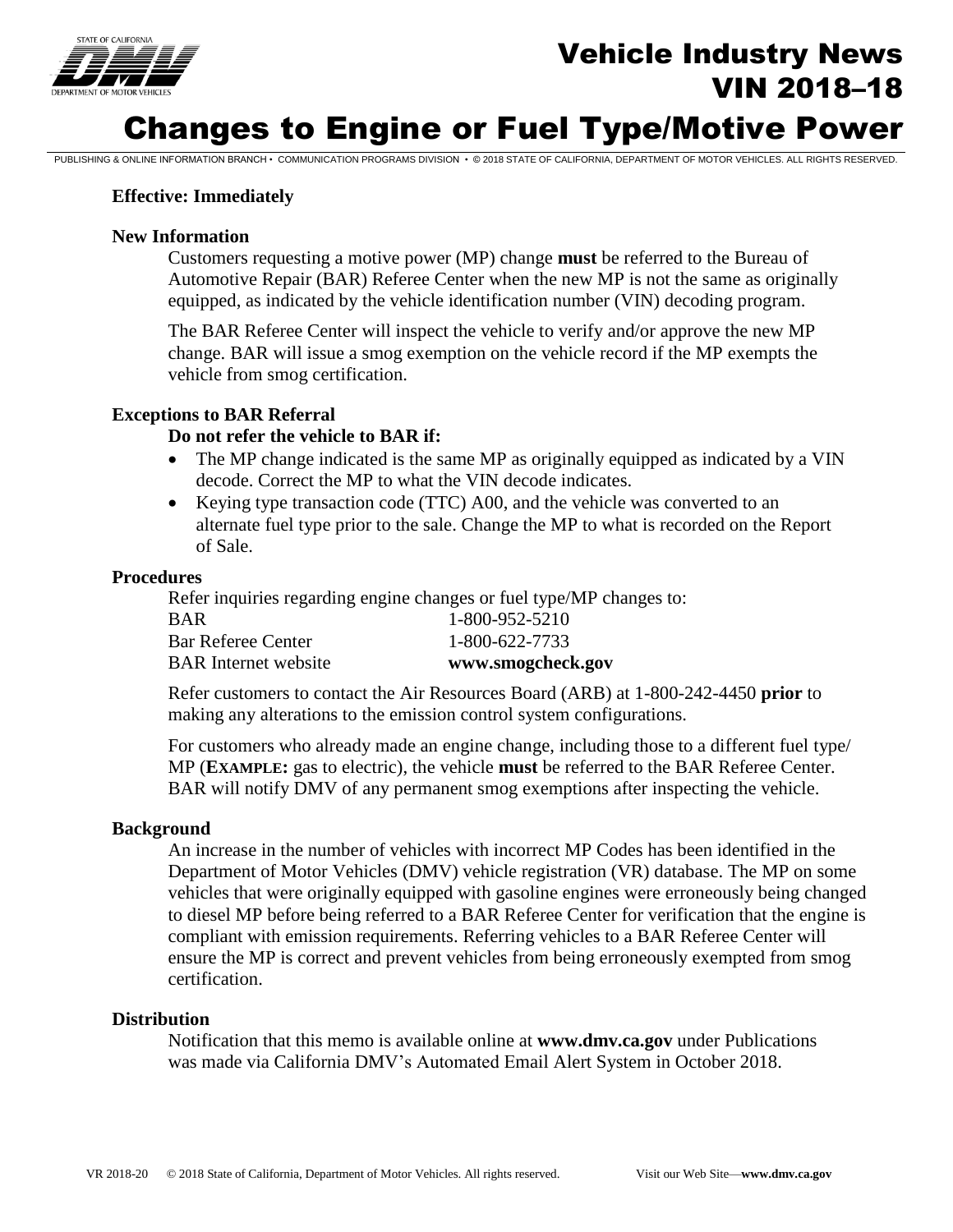

# Vehicle Industry News VIN 2018–18

# Changes to Engine or Fuel Type/Motive Power

PUBLISHING & ONLINE INFORMATION BRANCH • COMMUNICATION PROGRAMS DIVISION • © 2018 STATE OF CALIFORNIA, DEPARTMENT OF MOTOR VEHICLES. ALL RIGHTS RESERVED.

### **Effective: Immediately**

#### **New Information**

 Customers requesting a motive power (MP) change **must** be referred to the Bureau of equipped, as indicated by the vehicle identification number (VIN) decoding program. Automotive Repair (BAR) Referee Center when the new MP is not the same as originally

The BAR Referee Center will inspect the vehicle to verify and/or approve the new MP change. BAR will issue a smog exemption on the vehicle record if the MP exempts the vehicle from smog certification.

#### **Exceptions to BAR Referral**

#### **Do not refer the vehicle to BAR if:**

- The MP change indicated is the same MP as originally equipped as indicated by a VIN decode. Correct the MP to what the VIN decode indicates.
- Keying type transaction code (TTC) A00, and the vehicle was converted to an alternate fuel type prior to the sale. Change the MP to what is recorded on the Report of Sale.

#### **Procedures**

 Refer inquiries regarding engine changes or fuel type/MP changes to: **BAR** Internet website BAR 1-800-952-5210 Bar Referee Center 1-800-622-7733 BAR Internet website **www.smogcheck.gov** 

Refer customers to contact the Air Resources Board (ARB) at 1-800-242-4450 **prior** to making any alterations to the emission control system configurations.

 For customers who already made an engine change, including those to a different fuel type/ MP (**EXAMPLE:** gas to electric), the vehicle **must** be referred to the BAR Referee Center. BAR will notify DMV of any permanent smog exemptions after inspecting the vehicle.

#### **Background**

 An increase in the number of vehicles with incorrect MP Codes has been identified in the Department of Motor Vehicles (DMV) vehicle registration (VR) database. The MP on some vehicles that were originally equipped with gasoline engines were erroneously being changed ensure the MP is correct and prevent vehicles from being erroneously exempted from smog to diesel MP before being referred to a BAR Referee Center for verification that the engine is compliant with emission requirements. Referring vehicles to a BAR Referee Center will certification.

#### **Distribution**

Notification that this memo is available online at **www.dmv.ca.gov** under Publications was made via California DMV's Automated Email Alert System in October 2018.